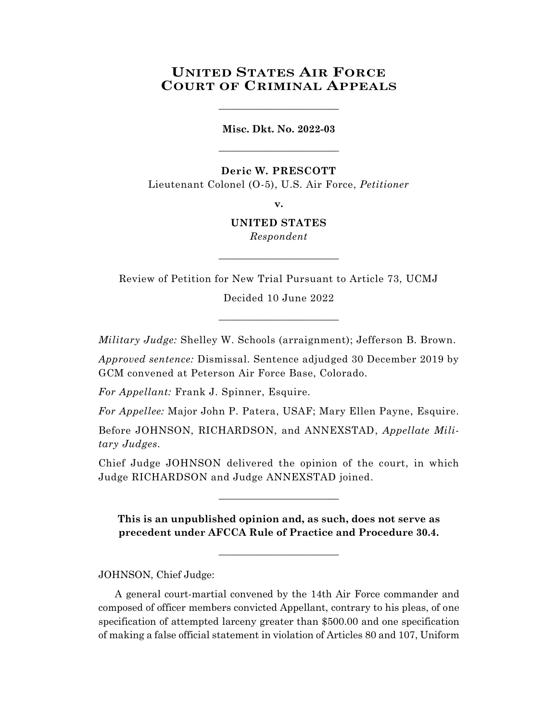# **UNITED STATES AIR FORCE COURT OF CRIMINAL APPEALS**

**Misc. Dkt. No. 2022-03** \_\_\_\_\_\_\_\_\_\_\_\_\_\_\_\_\_\_\_\_\_\_\_\_

\_\_\_\_\_\_\_\_\_\_\_\_\_\_\_\_\_\_\_\_\_\_\_\_

**Deric W. PRESCOTT** Lieutenant Colonel (O-5), U.S. Air Force, *Petitioner*

**v.**

# **UNITED STATES**

*Respondent*  $\_$ 

Review of Petition for New Trial Pursuant to Article 73, UCMJ

Decided 10 June 2022 \_\_\_\_\_\_\_\_\_\_\_\_\_\_\_\_\_\_\_\_\_\_\_\_

*Military Judge:* Shelley W. Schools (arraignment); Jefferson B. Brown.

*Approved sentence:* Dismissal. Sentence adjudged 30 December 2019 by GCM convened at Peterson Air Force Base, Colorado.

*For Appellant:* Frank J. Spinner, Esquire.

*For Appellee:* Major John P. Patera, USAF; Mary Ellen Payne, Esquire.

Before JOHNSON, RICHARDSON, and ANNEXSTAD, *Appellate Military Judges.*

Chief Judge JOHNSON delivered the opinion of the court, in which Judge RICHARDSON and Judge ANNEXSTAD joined.

\_\_\_\_\_\_\_\_\_\_\_\_\_\_\_\_\_\_\_\_\_\_\_\_

**This is an unpublished opinion and, as such, does not serve as precedent under AFCCA Rule of Practice and Procedure 30.4.**

 $\_$ 

JOHNSON, Chief Judge:

A general court-martial convened by the 14th Air Force commander and composed of officer members convicted Appellant, contrary to his pleas, of one specification of attempted larceny greater than \$500.00 and one specification of making a false official statement in violation of Articles 80 and 107, Uniform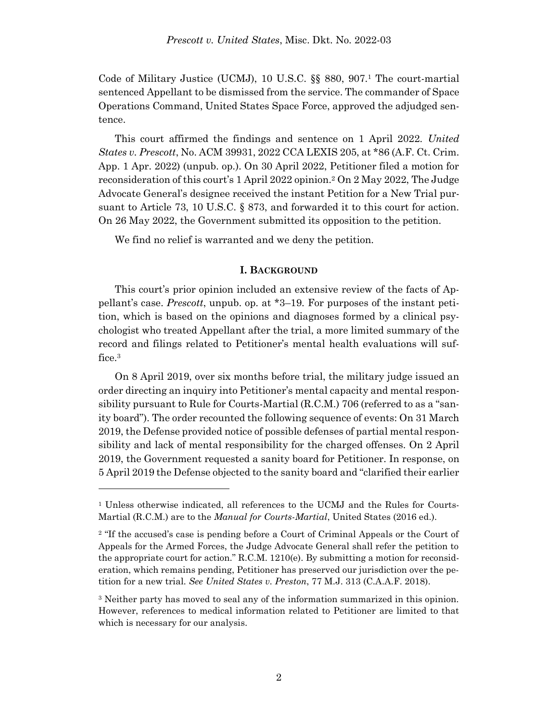Code of Military Justice (UCMJ), 10 U.S.C. §§ 880, 907.<sup>1</sup> The court-martial sentenced Appellant to be dismissed from the service. The commander of Space Operations Command, United States Space Force, approved the adjudged sentence.

This court affirmed the findings and sentence on 1 April 2022. *United States v. Prescott*, No. ACM 39931, 2022 CCA LEXIS 205, at \*86 (A.F. Ct. Crim. App. 1 Apr. 2022) (unpub. op.). On 30 April 2022, Petitioner filed a motion for reconsideration of this court's 1 April 2022 opinion.<sup>2</sup> On 2 May 2022, The Judge Advocate General's designee received the instant Petition for a New Trial pursuant to Article 73, 10 U.S.C. § 873, and forwarded it to this court for action. On 26 May 2022, the Government submitted its opposition to the petition.

We find no relief is warranted and we deny the petition.

#### **I. BACKGROUND**

This court's prior opinion included an extensive review of the facts of Appellant's case. *Prescott*, unpub. op. at \*3–19. For purposes of the instant petition, which is based on the opinions and diagnoses formed by a clinical psychologist who treated Appellant after the trial, a more limited summary of the record and filings related to Petitioner's mental health evaluations will suffice.<sup>3</sup>

On 8 April 2019, over six months before trial, the military judge issued an order directing an inquiry into Petitioner's mental capacity and mental responsibility pursuant to Rule for Courts-Martial (R.C.M.) 706 (referred to as a "sanity board"). The order recounted the following sequence of events: On 31 March 2019, the Defense provided notice of possible defenses of partial mental responsibility and lack of mental responsibility for the charged offenses. On 2 April 2019, the Government requested a sanity board for Petitioner. In response, on 5 April 2019 the Defense objected to the sanity board and "clarified their earlier

l

<sup>1</sup> Unless otherwise indicated, all references to the UCMJ and the Rules for Courts-Martial (R.C.M.) are to the *Manual for Courts-Martial*, United States (2016 ed.).

<sup>&</sup>lt;sup>2</sup> "If the accused's case is pending before a Court of Criminal Appeals or the Court of Appeals for the Armed Forces, the Judge Advocate General shall refer the petition to the appropriate court for action." R.C.M. 1210(e). By submitting a motion for reconsideration, which remains pending, Petitioner has preserved our jurisdiction over the petition for a new trial. *See United States v. Preston*, 77 M.J. 313 (C.A.A.F. 2018).

<sup>3</sup> Neither party has moved to seal any of the information summarized in this opinion. However, references to medical information related to Petitioner are limited to that which is necessary for our analysis.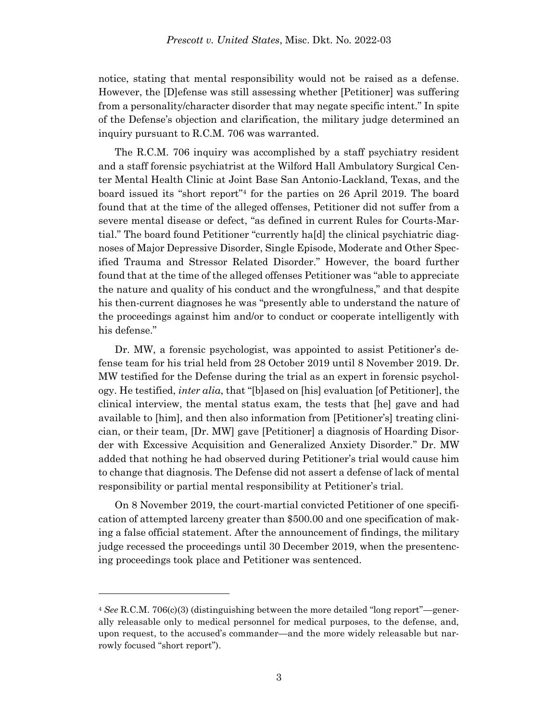notice, stating that mental responsibility would not be raised as a defense. However, the [D]efense was still assessing whether [Petitioner] was suffering from a personality/character disorder that may negate specific intent." In spite of the Defense's objection and clarification, the military judge determined an inquiry pursuant to R.C.M. 706 was warranted.

The R.C.M. 706 inquiry was accomplished by a staff psychiatry resident and a staff forensic psychiatrist at the Wilford Hall Ambulatory Surgical Center Mental Health Clinic at Joint Base San Antonio-Lackland, Texas, and the board issued its "short report"<sup>4</sup> for the parties on 26 April 2019. The board found that at the time of the alleged offenses, Petitioner did not suffer from a severe mental disease or defect, "as defined in current Rules for Courts-Martial." The board found Petitioner "currently ha[d] the clinical psychiatric diagnoses of Major Depressive Disorder, Single Episode, Moderate and Other Specified Trauma and Stressor Related Disorder." However, the board further found that at the time of the alleged offenses Petitioner was "able to appreciate the nature and quality of his conduct and the wrongfulness," and that despite his then-current diagnoses he was "presently able to understand the nature of the proceedings against him and/or to conduct or cooperate intelligently with his defense."

Dr. MW, a forensic psychologist, was appointed to assist Petitioner's defense team for his trial held from 28 October 2019 until 8 November 2019. Dr. MW testified for the Defense during the trial as an expert in forensic psychology. He testified, *inter alia*, that "[b]ased on [his] evaluation [of Petitioner], the clinical interview, the mental status exam, the tests that [he] gave and had available to [him], and then also information from [Petitioner's] treating clinician, or their team, [Dr. MW] gave [Petitioner] a diagnosis of Hoarding Disorder with Excessive Acquisition and Generalized Anxiety Disorder." Dr. MW added that nothing he had observed during Petitioner's trial would cause him to change that diagnosis. The Defense did not assert a defense of lack of mental responsibility or partial mental responsibility at Petitioner's trial.

On 8 November 2019, the court-martial convicted Petitioner of one specification of attempted larceny greater than \$500.00 and one specification of making a false official statement. After the announcement of findings, the military judge recessed the proceedings until 30 December 2019, when the presentencing proceedings took place and Petitioner was sentenced.

l

<sup>4</sup> *See* R.C.M. 706(c)(3) (distinguishing between the more detailed "long report"—generally releasable only to medical personnel for medical purposes, to the defense, and, upon request, to the accused's commander—and the more widely releasable but narrowly focused "short report").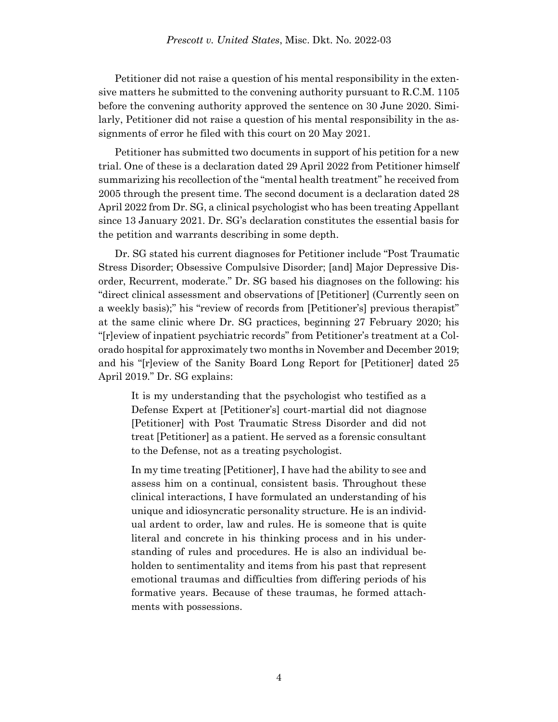Petitioner did not raise a question of his mental responsibility in the extensive matters he submitted to the convening authority pursuant to R.C.M. 1105 before the convening authority approved the sentence on 30 June 2020. Similarly, Petitioner did not raise a question of his mental responsibility in the assignments of error he filed with this court on 20 May 2021.

Petitioner has submitted two documents in support of his petition for a new trial. One of these is a declaration dated 29 April 2022 from Petitioner himself summarizing his recollection of the "mental health treatment" he received from 2005 through the present time. The second document is a declaration dated 28 April 2022 from Dr. SG, a clinical psychologist who has been treating Appellant since 13 January 2021. Dr. SG's declaration constitutes the essential basis for the petition and warrants describing in some depth.

Dr. SG stated his current diagnoses for Petitioner include "Post Traumatic Stress Disorder; Obsessive Compulsive Disorder; [and] Major Depressive Disorder, Recurrent, moderate." Dr. SG based his diagnoses on the following: his "direct clinical assessment and observations of [Petitioner] (Currently seen on a weekly basis);" his "review of records from [Petitioner's] previous therapist" at the same clinic where Dr. SG practices, beginning 27 February 2020; his "[r]eview of inpatient psychiatric records" from Petitioner's treatment at a Colorado hospital for approximately two months in November and December 2019; and his "[r]eview of the Sanity Board Long Report for [Petitioner] dated 25 April 2019." Dr. SG explains:

It is my understanding that the psychologist who testified as a Defense Expert at [Petitioner's] court-martial did not diagnose [Petitioner] with Post Traumatic Stress Disorder and did not treat [Petitioner] as a patient. He served as a forensic consultant to the Defense, not as a treating psychologist.

In my time treating [Petitioner], I have had the ability to see and assess him on a continual, consistent basis. Throughout these clinical interactions, I have formulated an understanding of his unique and idiosyncratic personality structure. He is an individual ardent to order, law and rules. He is someone that is quite literal and concrete in his thinking process and in his understanding of rules and procedures. He is also an individual beholden to sentimentality and items from his past that represent emotional traumas and difficulties from differing periods of his formative years. Because of these traumas, he formed attachments with possessions.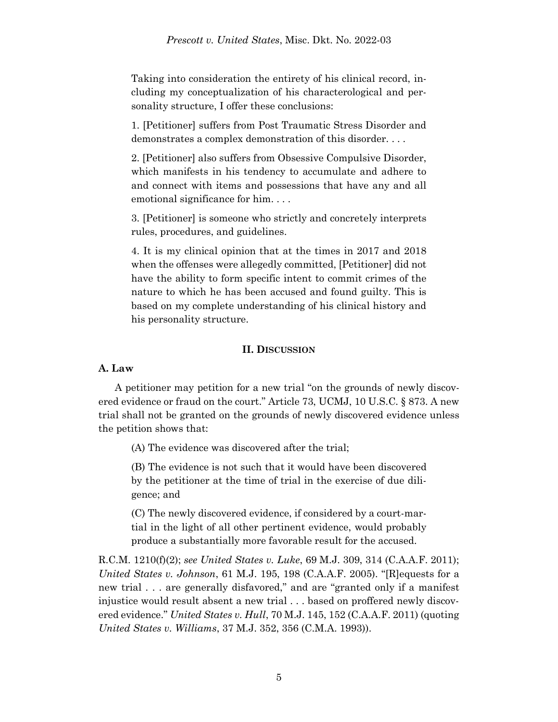Taking into consideration the entirety of his clinical record, including my conceptualization of his characterological and personality structure, I offer these conclusions:

1. [Petitioner] suffers from Post Traumatic Stress Disorder and demonstrates a complex demonstration of this disorder. . . .

2. [Petitioner] also suffers from Obsessive Compulsive Disorder, which manifests in his tendency to accumulate and adhere to and connect with items and possessions that have any and all emotional significance for him. . . .

3. [Petitioner] is someone who strictly and concretely interprets rules, procedures, and guidelines.

4. It is my clinical opinion that at the times in 2017 and 2018 when the offenses were allegedly committed, [Petitioner] did not have the ability to form specific intent to commit crimes of the nature to which he has been accused and found guilty. This is based on my complete understanding of his clinical history and his personality structure.

# **II. DISCUSSION**

# **A. Law**

A petitioner may petition for a new trial "on the grounds of newly discovered evidence or fraud on the court." Article 73, UCMJ, 10 U.S.C. § 873. A new trial shall not be granted on the grounds of newly discovered evidence unless the petition shows that:

(A) The evidence was discovered after the trial;

(B) The evidence is not such that it would have been discovered by the petitioner at the time of trial in the exercise of due diligence; and

(C) The newly discovered evidence, if considered by a court-martial in the light of all other pertinent evidence, would probably produce a substantially more favorable result for the accused.

R.C.M. 1210(f)(2); *see United States v. Luke*, 69 M.J. 309, 314 (C.A.A.F. 2011); *United States v. Johnson*, 61 M.J. 195, 198 (C.A.A.F. 2005). "[R]equests for a new trial . . . are generally disfavored," and are "granted only if a manifest injustice would result absent a new trial . . . based on proffered newly discovered evidence." *United States v. Hull*, 70 M.J. 145, 152 (C.A.A.F. 2011) (quoting *United States v. Williams*, 37 M.J. 352, 356 (C.M.A. 1993)).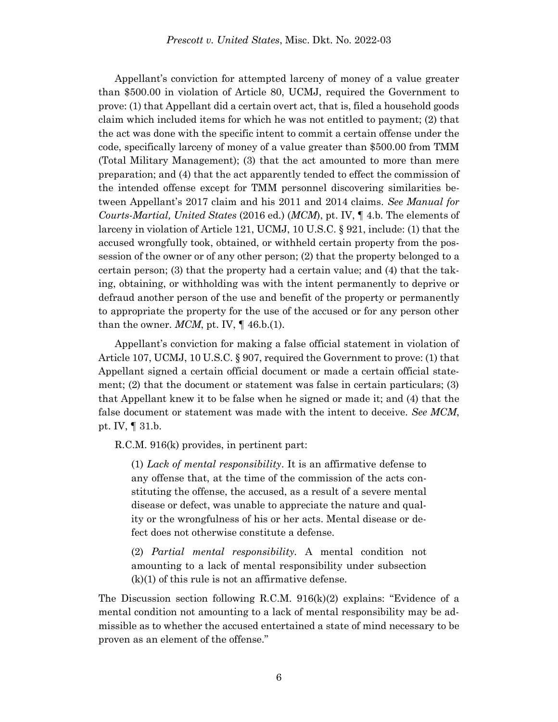Appellant's conviction for attempted larceny of money of a value greater than \$500.00 in violation of Article 80, UCMJ, required the Government to prove: (1) that Appellant did a certain overt act, that is, filed a household goods claim which included items for which he was not entitled to payment; (2) that the act was done with the specific intent to commit a certain offense under the code, specifically larceny of money of a value greater than \$500.00 from TMM (Total Military Management); (3) that the act amounted to more than mere preparation; and (4) that the act apparently tended to effect the commission of the intended offense except for TMM personnel discovering similarities between Appellant's 2017 claim and his 2011 and 2014 claims. *See Manual for Courts-Martial, United States* (2016 ed.) (*MCM*), pt. IV, ¶ 4.b. The elements of larceny in violation of Article 121, UCMJ, 10 U.S.C. § 921, include: (1) that the accused wrongfully took, obtained, or withheld certain property from the possession of the owner or of any other person; (2) that the property belonged to a certain person; (3) that the property had a certain value; and (4) that the taking, obtaining, or withholding was with the intent permanently to deprive or defraud another person of the use and benefit of the property or permanently to appropriate the property for the use of the accused or for any person other than the owner.  $MCM$ , pt. IV,  $\P$  46.b.(1).

Appellant's conviction for making a false official statement in violation of Article 107, UCMJ, 10 U.S.C. § 907, required the Government to prove: (1) that Appellant signed a certain official document or made a certain official statement; (2) that the document or statement was false in certain particulars; (3) that Appellant knew it to be false when he signed or made it; and (4) that the false document or statement was made with the intent to deceive. *See MCM*, pt. IV, ¶ 31.b.

R.C.M. 916(k) provides, in pertinent part:

(1) *Lack of mental responsibility*. It is an affirmative defense to any offense that, at the time of the commission of the acts constituting the offense, the accused, as a result of a severe mental disease or defect, was unable to appreciate the nature and quality or the wrongfulness of his or her acts. Mental disease or defect does not otherwise constitute a defense.

(2) *Partial mental responsibility.* A mental condition not amounting to a lack of mental responsibility under subsection  $(k)(1)$  of this rule is not an affirmative defense.

The Discussion section following R.C.M. 916(k)(2) explains: "Evidence of a mental condition not amounting to a lack of mental responsibility may be admissible as to whether the accused entertained a state of mind necessary to be proven as an element of the offense."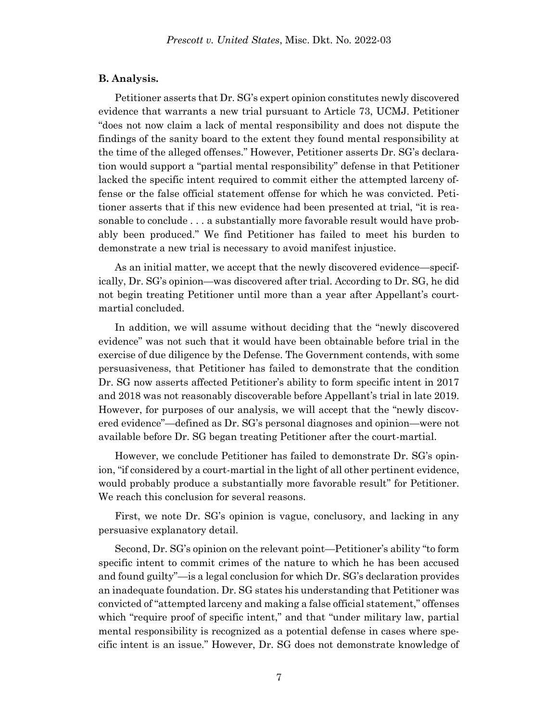#### **B. Analysis.**

Petitioner asserts that Dr. SG's expert opinion constitutes newly discovered evidence that warrants a new trial pursuant to Article 73, UCMJ. Petitioner "does not now claim a lack of mental responsibility and does not dispute the findings of the sanity board to the extent they found mental responsibility at the time of the alleged offenses." However, Petitioner asserts Dr. SG's declaration would support a "partial mental responsibility" defense in that Petitioner lacked the specific intent required to commit either the attempted larceny offense or the false official statement offense for which he was convicted. Petitioner asserts that if this new evidence had been presented at trial, "it is reasonable to conclude . . . a substantially more favorable result would have probably been produced." We find Petitioner has failed to meet his burden to demonstrate a new trial is necessary to avoid manifest injustice.

As an initial matter, we accept that the newly discovered evidence—specifically, Dr. SG's opinion—was discovered after trial. According to Dr. SG, he did not begin treating Petitioner until more than a year after Appellant's courtmartial concluded.

In addition, we will assume without deciding that the "newly discovered evidence" was not such that it would have been obtainable before trial in the exercise of due diligence by the Defense. The Government contends, with some persuasiveness, that Petitioner has failed to demonstrate that the condition Dr. SG now asserts affected Petitioner's ability to form specific intent in 2017 and 2018 was not reasonably discoverable before Appellant's trial in late 2019. However, for purposes of our analysis, we will accept that the "newly discovered evidence"—defined as Dr. SG's personal diagnoses and opinion—were not available before Dr. SG began treating Petitioner after the court-martial.

However, we conclude Petitioner has failed to demonstrate Dr. SG's opinion, "if considered by a court-martial in the light of all other pertinent evidence, would probably produce a substantially more favorable result" for Petitioner. We reach this conclusion for several reasons.

First, we note Dr. SG's opinion is vague, conclusory, and lacking in any persuasive explanatory detail.

Second, Dr. SG's opinion on the relevant point—Petitioner's ability "to form specific intent to commit crimes of the nature to which he has been accused and found guilty"—is a legal conclusion for which Dr. SG's declaration provides an inadequate foundation. Dr. SG states his understanding that Petitioner was convicted of "attempted larceny and making a false official statement," offenses which "require proof of specific intent," and that "under military law, partial mental responsibility is recognized as a potential defense in cases where specific intent is an issue." However, Dr. SG does not demonstrate knowledge of